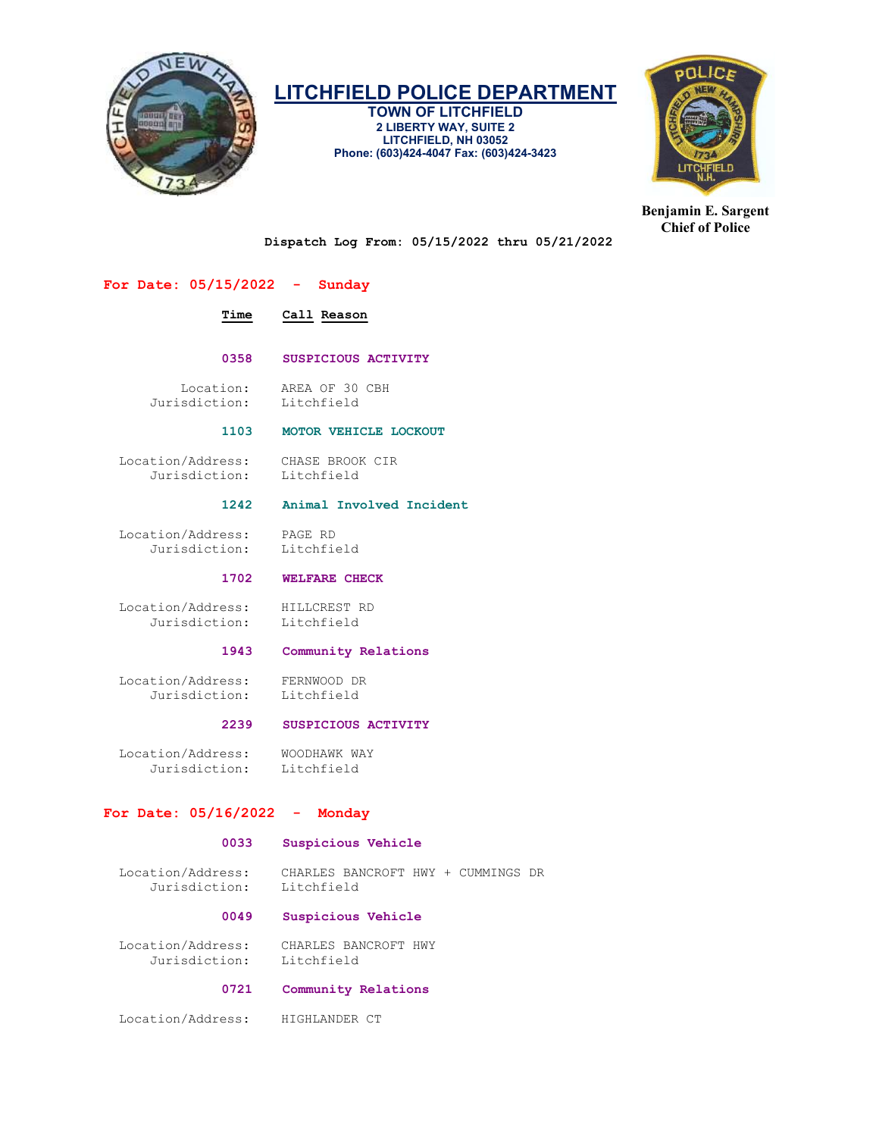

TOWN OF LITCHFIELD 2 LIBERTY WAY, SUITE 2 LITCHFIELD, NH 03052 Phone: (603)424-4047 Fax: (603)424-3423



Benjamin E. Sargent Chief of Police

Dispatch Log From: 05/15/2022 thru 05/21/2022

# For Date: 05/15/2022 - Sunday

# Time Call Reason

## 0358 SUSPICIOUS ACTIVITY

Location: AREA OF 30 CBH<br>sdiction: Litchfield Jurisdiction:

# 1103 MOTOR VEHICLE LOCKOUT

 Location/Address: CHASE BROOK CIR Jurisdiction:

# 1242 Animal Involved Incident

 Location/Address: PAGE RD Jurisdiction: Litchfield

# 1702 WELFARE CHECK

Location/Address: HILLCREST RD<br>Jurisdiction: Litchfield Jurisdiction:

# 1943 Community Relations

 Location/Address: FERNWOOD DR Jurisdiction:

# 2239 SUSPICIOUS ACTIVITY

Location/Address: WOODHAWK WAY<br>Jurisdiction: Litchfield Jurisdiction:

# For Date: 05/16/2022 - Monday

# 0033 Suspicious Vehicle

 Location/Address: CHARLES BANCROFT HWY + CUMMINGS DR Jurisdiction:

#### 0049 Suspicious Vehicle

 Location/Address: CHARLES BANCROFT HWY Jurisdiction: Litchfield

# 0721 Community Relations

Location/Address: HIGHLANDER CT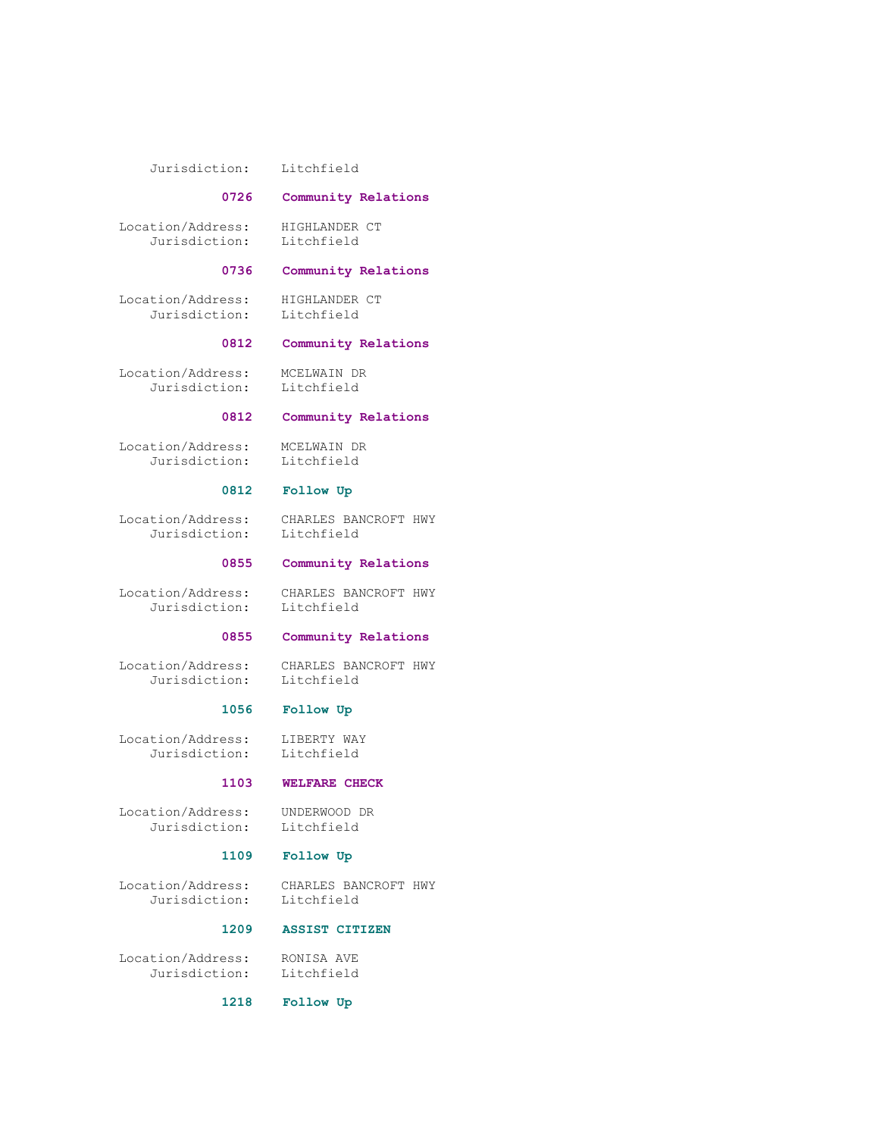#### Jurisdiction: Litchfield

#### 0726 Community Relations

Location/Address: HIGHLANDER CT<br>Jurisdiction: Litchfield Jurisdiction:

#### 0736 Community Relations

 Location/Address: HIGHLANDER CT Jurisdiction: Litchfield

#### 0812 Community Relations

 Location/Address: MCELWAIN DR Jurisdiction: Litchfield

# 0812 Community Relations

Location/Address: MCELWAIN DR

Litchfield

# 0812 Follow Up

 Location/Address: CHARLES BANCROFT HWY Jurisdiction: Litchfield

# 0855 Community Relations

 Location/Address: CHARLES BANCROFT HWY Jurisdiction: Litchfield

# 0855 Community Relations

Location/Address: CHARLES BANCROFT HWY<br>Jurisdiction: Litchfield Jurisdiction:

# 1056 Follow Up

 Location/Address: LIBERTY WAY Jurisdiction: Litchfield

# 1103 WELFARE CHECK

 Location/Address: UNDERWOOD DR Jurisdiction:

# 1109 Follow Up

Location/Address: CHARLES BANCROFT HWY<br>Jurisdiction: Litchfield Jurisdiction:

## 1209 ASSIST CITIZEN

 Location/Address: RONISA AVE Jurisdiction: Litchfield

1218 Follow Up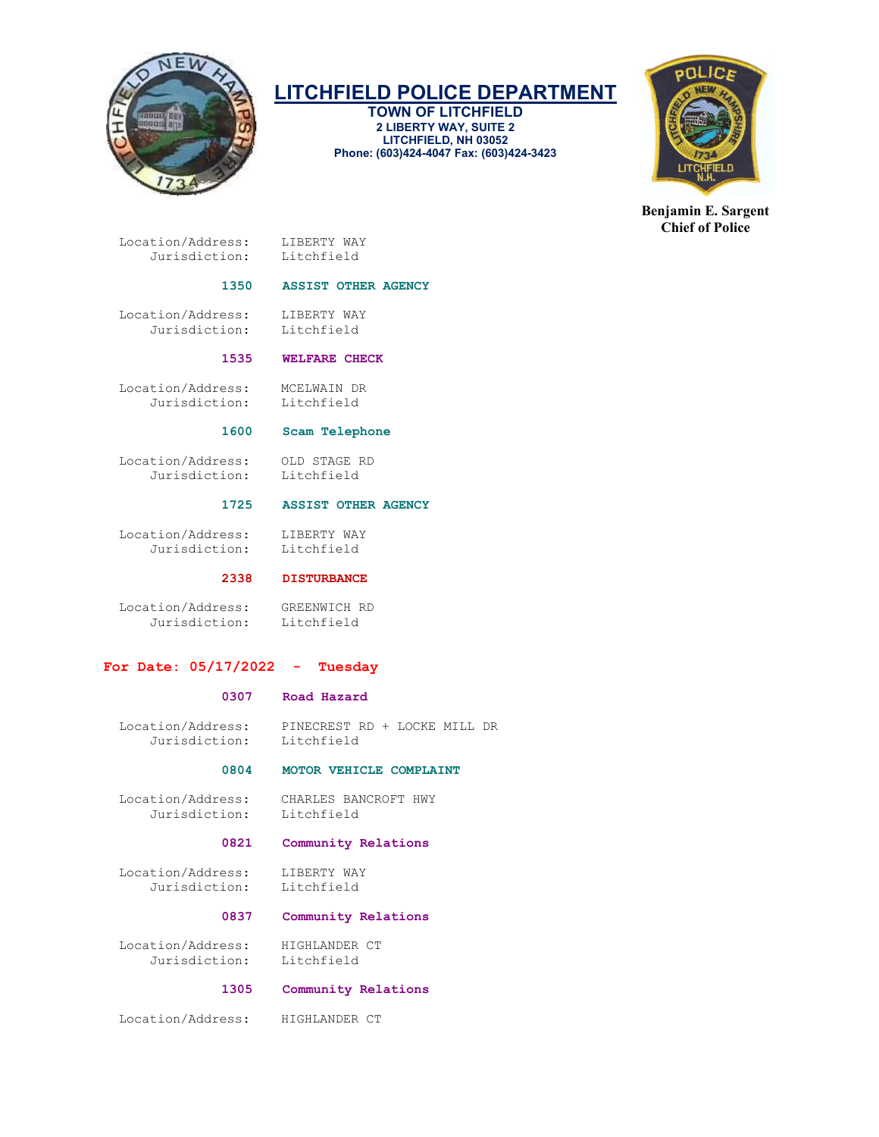

TOWN OF LITCHFIELD 2 LIBERTY WAY, SUITE 2 LITCHFIELD, NH 03052 Phone: (603)424-4047 Fax: (603)424-3423



Benjamin E. Sargent Chief of Police

 Location/Address: LIBERTY WAY Jurisdiction: Litchfield

# 1350 ASSIST OTHER AGENCY

Location/Address: LIBERTY WAY<br>Jurisdiction: Litchfield Jurisdiction:

## 1535 WELFARE CHECK

 Location/Address: MCELWAIN DR Jurisdiction:

#### 1600 Scam Telephone

 Location/Address: OLD STAGE RD Jurisdiction: Litchfield

# 1725 ASSIST OTHER AGENCY

 Location/Address: LIBERTY WAY Jurisdiction: Litchfield

# 2338 DISTURBANCE

 Location/Address: GREENWICH RD Jurisdiction:

# For Date: 05/17/2022 - Tuesday

## 0307 Road Hazard

 Location/Address: PINECREST RD + LOCKE MILL DR Jurisdiction:

# 0804 MOTOR VEHICLE COMPLAINT

 Location/Address: CHARLES BANCROFT HWY Jurisdiction: Litchfield

# 0821 Community Relations

Location/Address: LIBERTY WAY<br>Jurisdiction: Litchfield Jurisdiction:

#### 0837 Community Relations

 Location/Address: HIGHLANDER CT Jurisdiction: Litchfield

# 1305 Community Relations

Location/Address: HIGHLANDER CT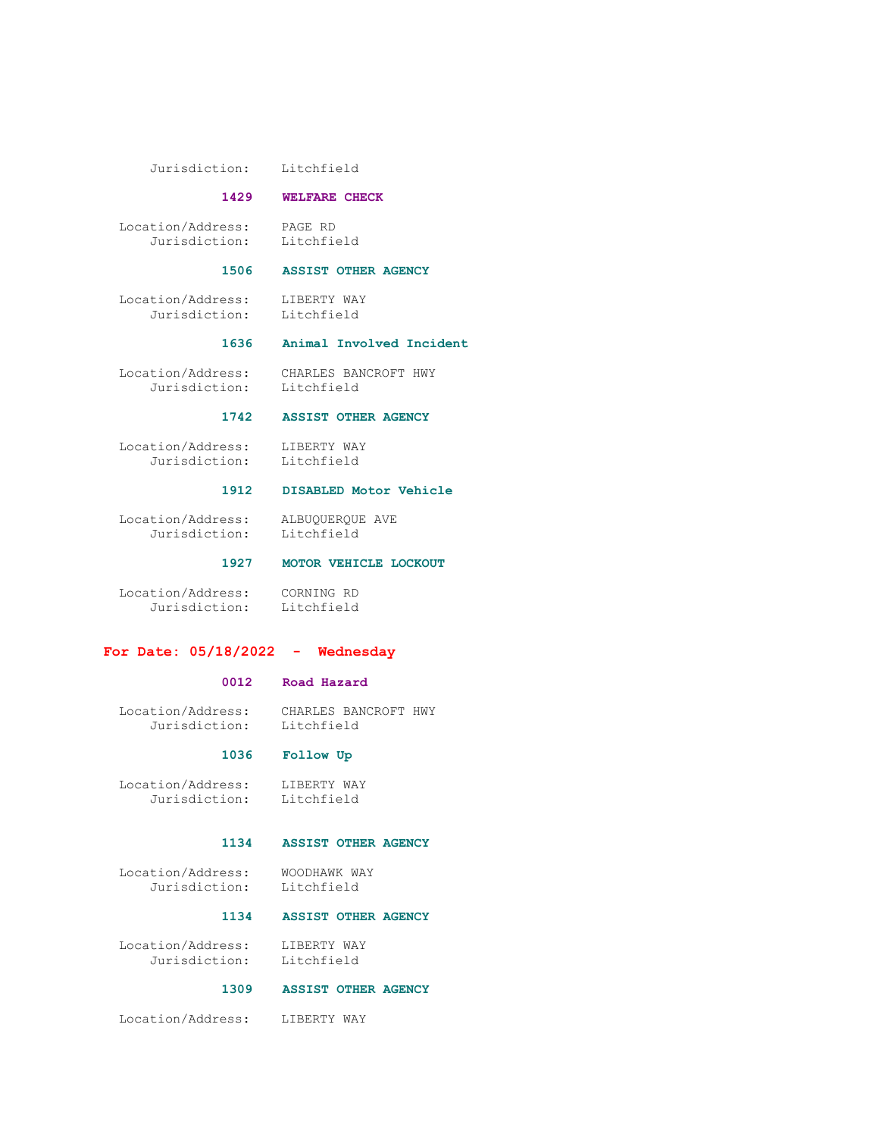Jurisdiction: Litchfield

#### 1429 WELFARE CHECK

 Location/Address: PAGE RD Jurisdiction:

# 1506 ASSIST OTHER AGENCY

 Location/Address: LIBERTY WAY Jurisdiction: Litchfield

#### 1636 Animal Involved Incident

 Location/Address: CHARLES BANCROFT HWY Jurisdiction: Litchfield

# 1742 ASSIST OTHER AGENCY

 Location/Address: LIBERTY WAY Jurisdiction: Litchfield

#### 1912 DISABLED Motor Vehicle

 Location/Address: ALBUQUERQUE AVE Jurisdiction: Litchfield

1927 MOTOR VEHICLE LOCKOUT

 Location/Address: CORNING RD Jurisdiction: Litchfield

# For Date: 05/18/2022 - Wednesday

#### 0012 Road Hazard

 Location/Address: CHARLES BANCROFT HWY Jurisdiction: Litchfield

# 1036 Follow Up

 Location/Address: LIBERTY WAY Jurisdiction: Litchfield

#### 1134 ASSIST OTHER AGENCY

 Location/Address: WOODHAWK WAY Jurisdiction: Litchfield

#### 1134 ASSIST OTHER AGENCY

Location/Address: LIBERTY WAY<br>Jurisdiction: Litchfield Jurisdiction:

# 1309 ASSIST OTHER AGENCY

Location/Address: LIBERTY WAY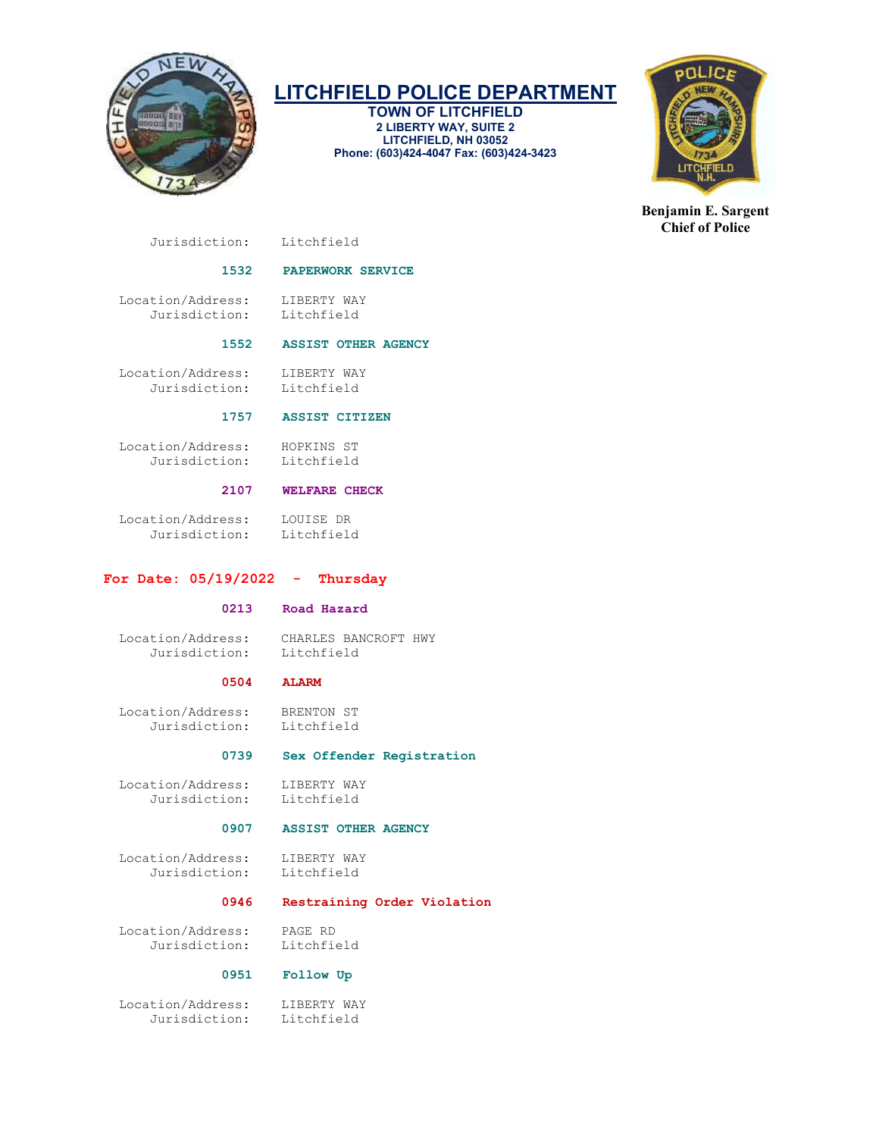

TOWN OF LITCHFIELD 2 LIBERTY WAY, SUITE 2 LITCHFIELD, NH 03052 Phone: (603)424-4047 Fax: (603)424-3423



Benjamin E. Sargent Chief of Police

Jurisdiction: Litchfield

# 1532 PAPERWORK SERVICE

Location/Address: LIBERTY WAY<br>Jurisdiction: Litchfield Jurisdiction:

# 1552 ASSIST OTHER AGENCY

Location/Address: LIBERTY WAY<br>Jurisdiction: Litchfield Jurisdiction:

# 1757 ASSIST CITIZEN

 Location/Address: HOPKINS ST Jurisdiction: Litchfield

# 2107 WELFARE CHECK

 Location/Address: LOUISE DR Jurisdiction: Litchfield

# For Date:  $05/19/2022 -$  Thursday

# 0213 Road Hazard

 Location/Address: CHARLES BANCROFT HWY Jurisdiction:

# 0504 ALARM

Location/Address: BRENTON ST<br>Jurisdiction: Litchfield Jurisdiction:

# 0739 Sex Offender Registration

 Location/Address: LIBERTY WAY Jurisdiction: Litchfield

# 0907 ASSIST OTHER AGENCY

Location/Address: LIBERTY WAY<br>Jurisdiction: Litchfield Jurisdiction:

# 0946 Restraining Order Violation

 Location/Address: PAGE RD Jurisdiction:

# 0951 Follow Up

 Location/Address: LIBERTY WAY Jurisdiction: Litchfield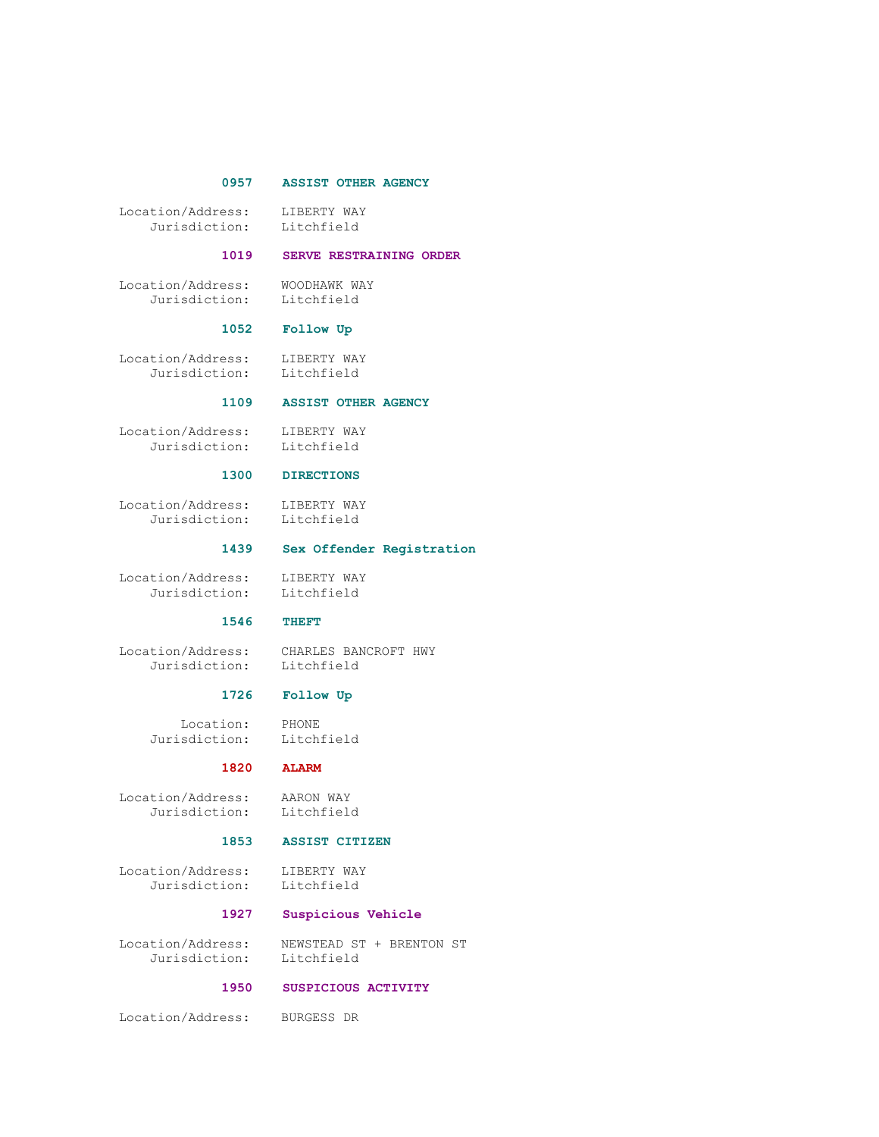# 0957 ASSIST OTHER AGENCY

Location/Address: LIBERTY WAY<br>Jurisdiction: Litchfield Jurisdiction:

#### 1019 SERVE RESTRAINING ORDER

 Location/Address: WOODHAWK WAY Jurisdiction: Litchfield

# 1052 Follow Up

Location/Address: LIBERTY WAY<br>Jurisdiction: Litchfield Jurisdiction:

#### 1109 ASSIST OTHER AGENCY

 Location/Address: LIBERTY WAY Jurisdiction: Litchfield

# 1300 DIRECTIONS

 Location/Address: LIBERTY WAY Jurisdiction: Litchfield

#### 1439 Sex Offender Registration

 Location/Address: LIBERTY WAY Jurisdiction: Litchfield

#### 1546 THEFT

Location/Address: CHARLES BANCROFT HWY<br>Jurisdiction: Litchfield Jurisdiction:

# 1726 Follow Up

 Location: PHONE Jurisdiction: Litchfield

#### 1820 ALARM

Location/Address: AARON WAY<br>Jurisdiction: Litchfield Jurisdiction:

#### 1853 ASSIST CITIZEN

Location/Address: LIBERTY WAY<br>Jurisdiction: Litchfield Jurisdiction:

# 1927 Suspicious Vehicle

 Location/Address: NEWSTEAD ST + BRENTON ST Jurisdiction: Litchfield

# 1950 SUSPICIOUS ACTIVITY

Location/Address: BURGESS DR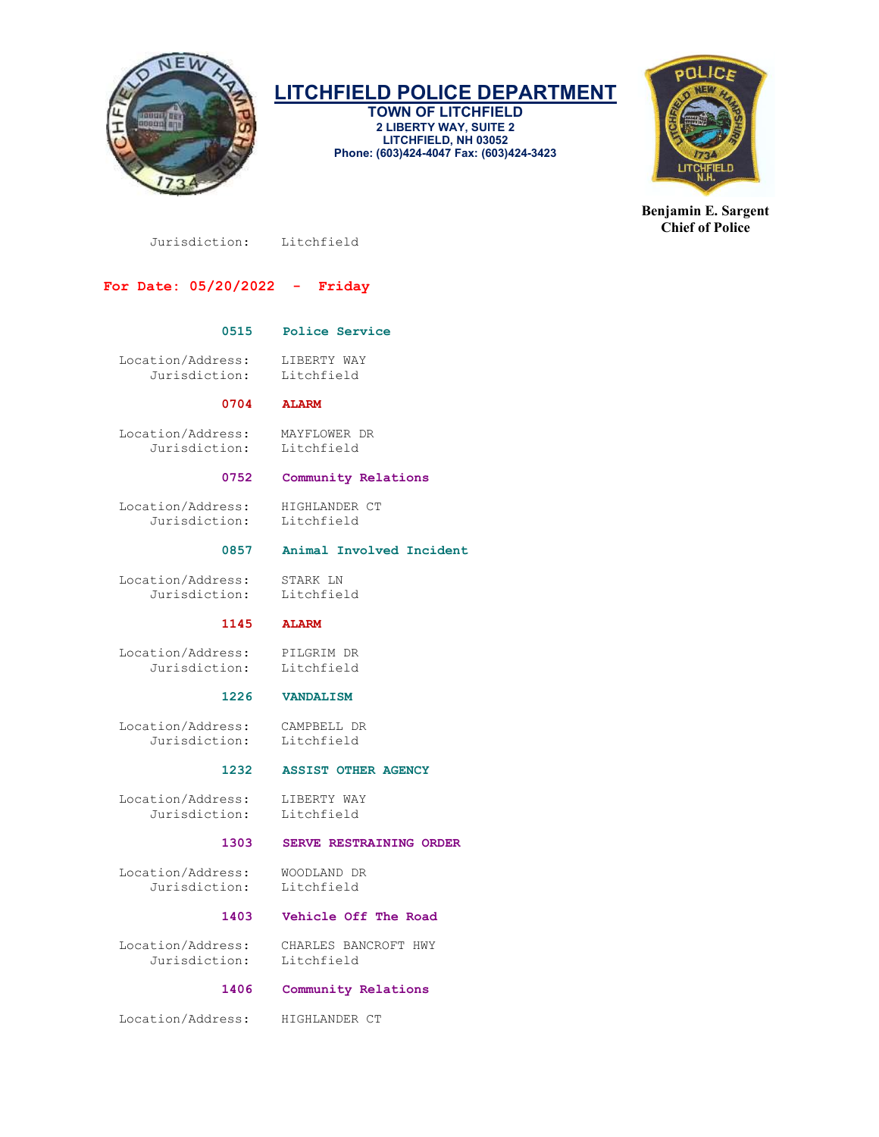

TOWN OF LITCHFIELD 2 LIBERTY WAY, SUITE 2 LITCHFIELD, NH 03052 Phone: (603)424-4047 Fax: (603)424-3423



Benjamin E. Sargent Chief of Police

Jurisdiction: Litchfield

# For Date: 05/20/2022 - Friday

# 0515 Police Service

 Location/Address: LIBERTY WAY Jurisdiction: Litchfield

## 0704 ALARM

 Location/Address: MAYFLOWER DR Jurisdiction:

#### 0752 Community Relations

Location/Address: HIGHLANDER CT<br>Jurisdiction: Litchfield Jurisdiction:

# 0857 Animal Involved Incident

 Location/Address: STARK LN Jurisdiction: Litchfield

#### 1145 ALARM

 Location/Address: PILGRIM DR Jurisdiction:

#### 1226 VANDALISM

 Location/Address: CAMPBELL DR Jurisdiction:

# 1232 ASSIST OTHER AGENCY

 Location/Address: LIBERTY WAY Jurisdiction: Litchfield

#### 1303 SERVE RESTRAINING ORDER

 Location/Address: WOODLAND DR Jurisdiction:

# 1403 Vehicle Off The Road

 Location/Address: CHARLES BANCROFT HWY Jurisdiction: Litchfield

# 1406 Community Relations

Location/Address: HIGHLANDER CT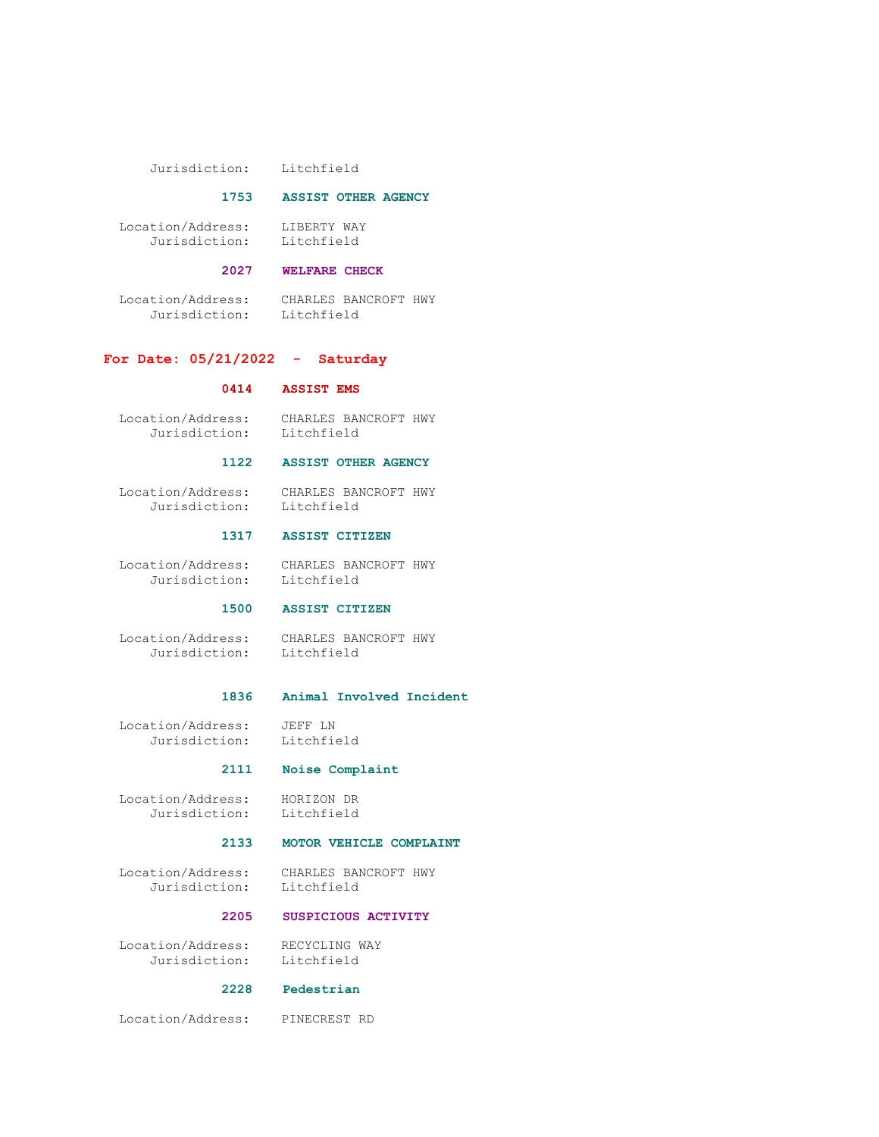Jurisdiction: Litchfield

#### 1753 ASSIST OTHER AGENCY

 Location/Address: LIBERTY WAY Jurisdiction: Litchfield

# 2027 WELFARE CHECK

 Location/Address: CHARLES BANCROFT HWY Jurisdiction: Litchfield

#### For Date: 05/21/2022 - Saturday

#### 0414 ASSIST EMS

 Location/Address: CHARLES BANCROFT HWY Jurisdiction: Litchfield

#### 1122 ASSIST OTHER AGENCY

 Location/Address: CHARLES BANCROFT HWY Litchfield

#### 1317 ASSIST CITIZEN

 Location/Address: CHARLES BANCROFT HWY Jurisdiction: Litchfield

## 1500 ASSIST CITIZEN

 Location/Address: CHARLES BANCROFT HWY Jurisdiction: Litchfield

#### 1836 Animal Involved Incident

Location/Address: JEFF LN<br>Jurisdiction: Litchfield Jurisdiction:

# 2111 Noise Complaint

 Location/Address: HORIZON DR Jurisdiction: Litchfield

# 2133 MOTOR VEHICLE COMPLAINT

 Location/Address: CHARLES BANCROFT HWY Jurisdiction: Litchfield

# 2205 SUSPICIOUS ACTIVITY

Location/Address: RECYCLING WAY<br>Jurisdiction: Litchfield Jurisdiction:

# 2228 Pedestrian

Location/Address: PINECREST RD